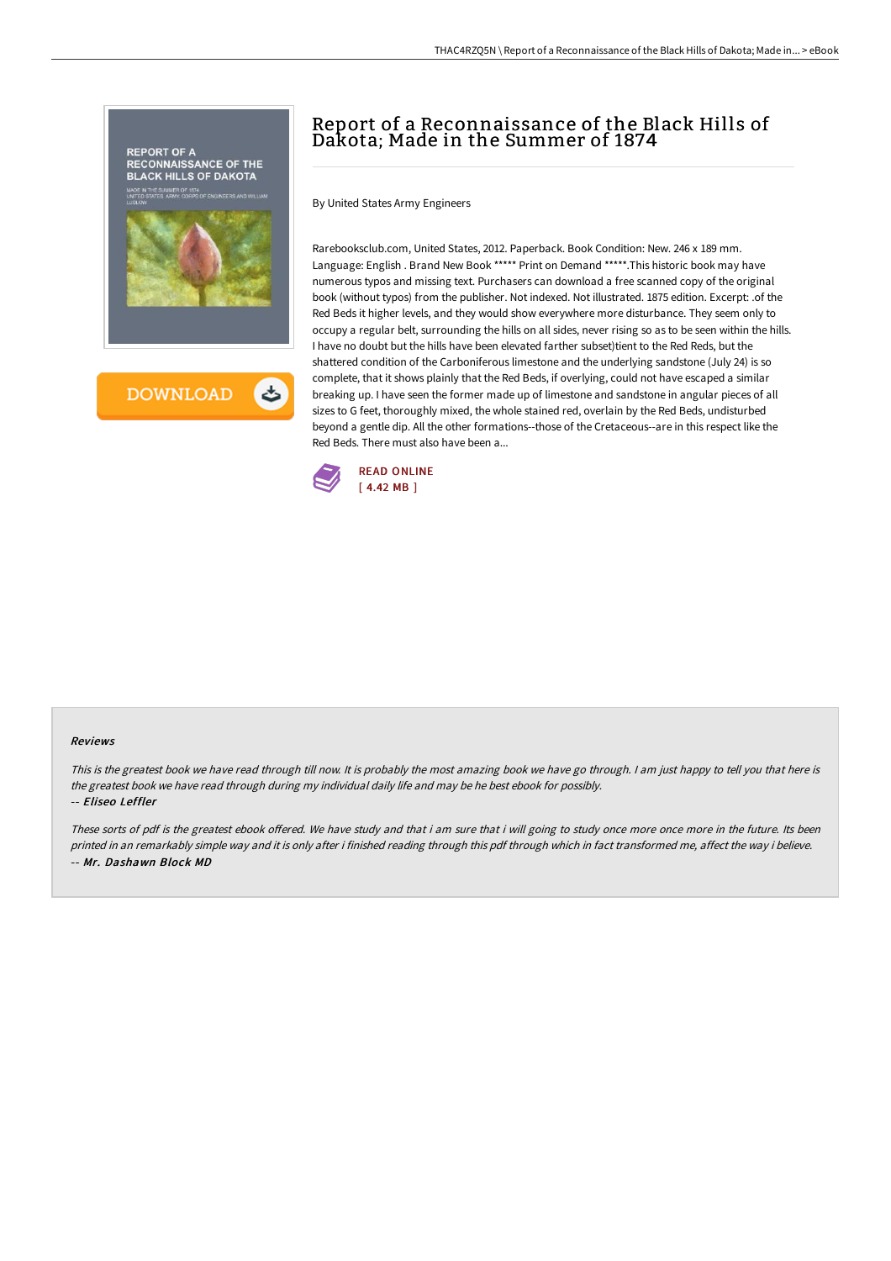

# Report of a Reconnaissance of the Black Hills of Dakota; Made in the Summer of 1874

THAC4RZQ5N \ Report of a Reconnaissance of the Black Hills of Dakota; Made in... > eBook

By United States Army Engineers

Rarebooksclub.com, United States, 2012. Paperback. Book Condition: New. 246 x 189 mm. Language: English . Brand New Book \*\*\*\*\* Print on Demand \*\*\*\*\*.This historic book may have numerous typos and missing text. Purchasers can download a free scanned copy of the original book (without typos) from the publisher. Not indexed. Not illustrated. 1875 edition. Excerpt: .of the Red Beds it higher levels, and they would show everywhere more disturbance. They seem only to occupy a regular belt, surrounding the hills on all sides, never rising so as to be seen within the hills. I have no doubt but the hills have been elevated farther subset)tient to the Red Reds, but the shattered condition of the Carboniferous limestone and the underlying sandstone (July 24) is so complete, that it shows plainly that the Red Beds, if overlying, could not have escaped a similar breaking up. I have seen the former made up of limestone and sandstone in angular pieces of all sizes to G feet, thoroughly mixed, the whole stained red, overlain by the Red Beds, undisturbed beyond a gentle dip. All the other formations--those of the Cretaceous--are in this respect like the Red Beds. There must also have been a...



## Reviews

This is the greatest book we have read through till now. It is probably the most amazing book we have go through. I am just happy to tell you that here is the greatest book we have read through during my individual daily life and may be he best ebook for possibly. -- Eliseo Leffler

These sorts of pdf is the greatest ebook offered. We have study and that i am sure that i will going to study once more once more in the future. Its been printed in an remarkably simple way and it is only after i finished reading through this pdf through which in fact transformed me, affect the way i believe. -- Mr. Dashawn Block MD